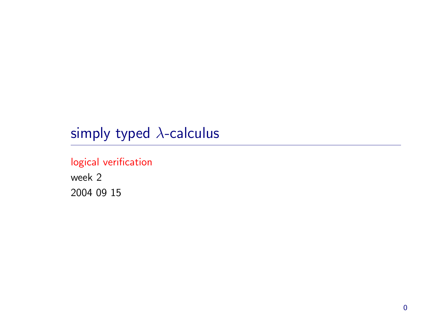# simply typed  $\lambda$ -calculus

#### logical verification

week 2 2004 09 15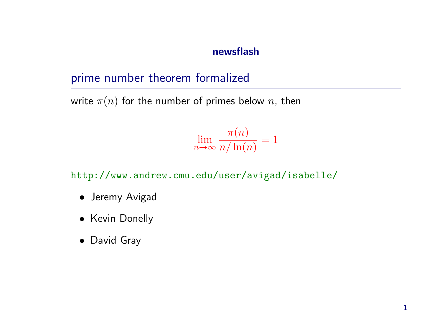#### newsflash

## prime number theorem formalized

write  $\pi(n)$  for the number of primes below n, then

$$
\lim_{n \to \infty} \frac{\pi(n)}{n/\ln(n)} = 1
$$

http://www.andrew.cmu.edu/user/avigad/isabelle/

- Jeremy Avigad
- Kevin Donelly
- David Gray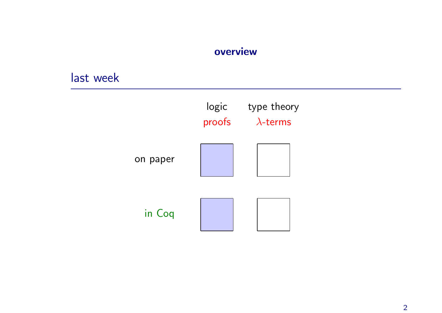#### overview

#### last week

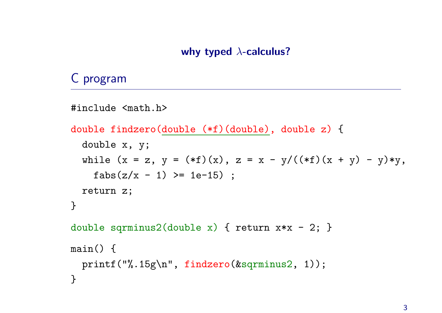### C program

```
#include <math.h>
double findzero(double (*f)(double), double z) {
  double x, y;
  while (x = z, y = (*f)(x), z = x - y/((*f)(x + y) - y) * y,fabs(z/x - 1) >= 1e-15) ;
  return z;
}
double sqrminus2(double x) { return x*x - 2; }
main() {
 printf("%.15g\n", findzero(&sqrminus2, 1));
}
```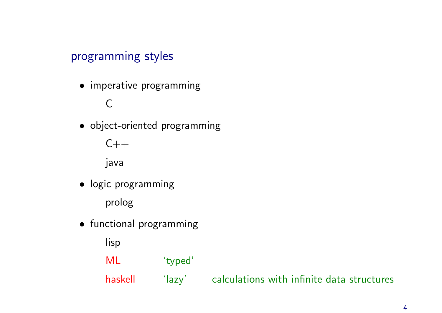## programming styles

• imperative programming

C

• object-oriented programming



- logic programming prolog
- functional programming

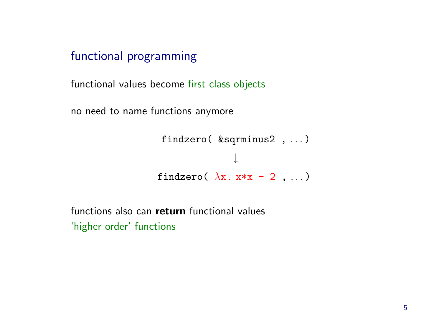functional programming

functional values become first class objects

no need to name functions anymore

```
findzero( &sqrminus2 , . . . )
                ↓
findzero(\lambdax. x*x - 2, ...)
```
functions also can return functional values 'higher order' functions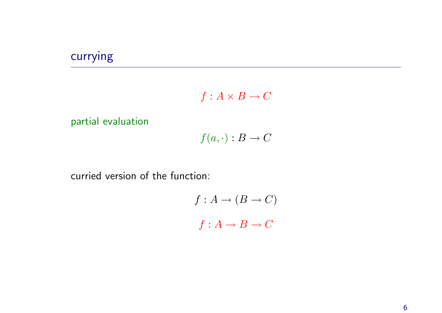## currying

$$
f:A\times B\to C
$$

partial evaluation

$$
f(a, \cdot) : B \to C
$$

curried version of the function:

$$
f: A \to (B \to C)
$$
  

$$
f: A \to B \to C
$$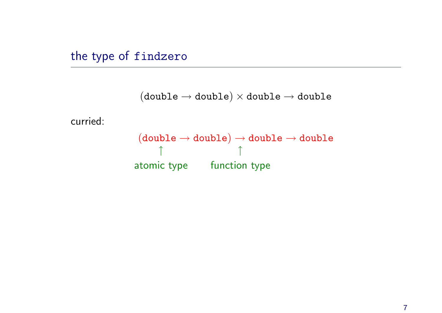the type of findzero

```
(double \rightarrow double) \times double \rightarrow double
```
curried:

```
(double \rightarrow double) \rightarrow double \rightarrow double↑
atomic type
function type
                            ↑
```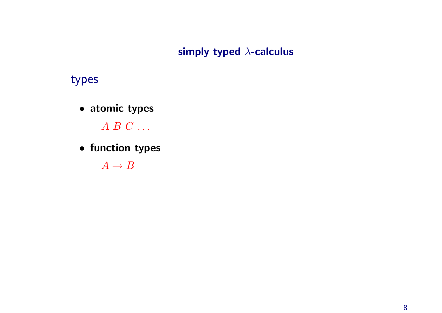#### simply typed  $\lambda$ -calculus

#### types

• atomic types

 $A \ B \ C \ \ldots$ 

• function types

 $A \rightarrow B$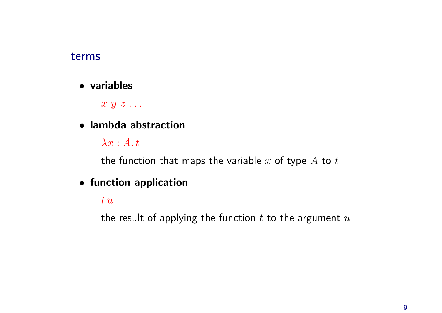#### terms

• variables

 $x \, y \, z \, \ldots$ 

• lambda abstraction

 $\lambda x:A.t$ 

the function that maps the variable  $x$  of type  $A$  to  $t$ 

- function application
	- $t u$

the result of applying the function  $t$  to the argument  $u$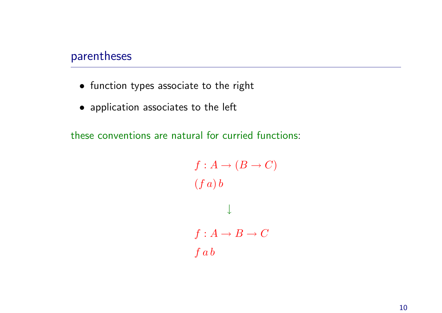#### parentheses

- function types associate to the right
- application associates to the left

these conventions are natural for curried functions:

```
f : A \rightarrow (B \rightarrow C)(f a) b↓
f : A \rightarrow B \rightarrow C\int a b
```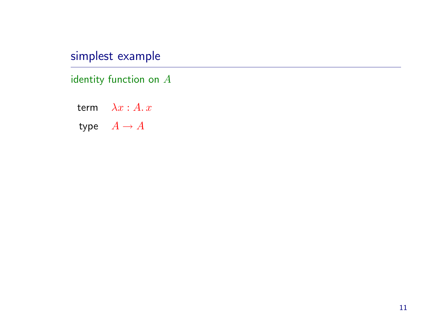## simplest example

identity function on  $A$ 

term  $\lambda x : A. x$ type  $A \rightarrow A$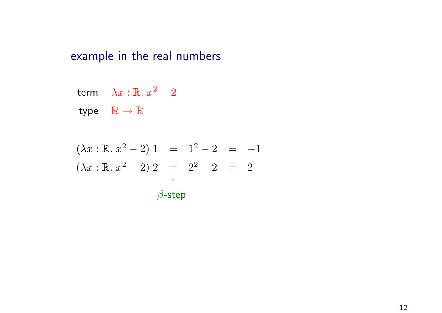## example in the real numbers

$$
\mathsf{term} \quad \lambda x : \mathbb{R}. \ x^2 - 2
$$

type  $\mathbb{R} \to \mathbb{R}$ 

$$
(\lambda x : \mathbb{R}. x^{2} - 2) 1 = 1^{2} - 2 = -1
$$
  

$$
(\lambda x : \mathbb{R}. x^{2} - 2) 2 = 2^{2} - 2 = 2
$$
  

$$
\uparrow
$$
  

$$
\beta\text{-step}
$$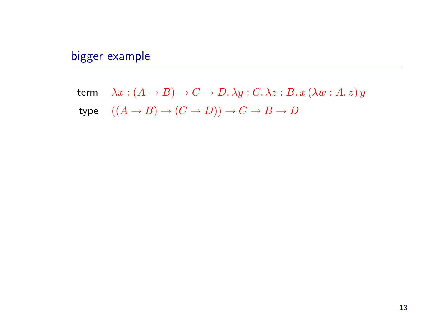## bigger example

term  $\lambda x : (A \rightarrow B) \rightarrow C \rightarrow D$ .  $\lambda y : C$ .  $\lambda z : B$ .  $x (\lambda w : A z) y$ type  $((A \rightarrow B) \rightarrow (C \rightarrow D)) \rightarrow C \rightarrow B \rightarrow D$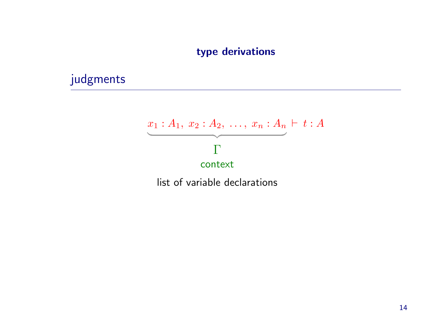#### type derivations

## judgments

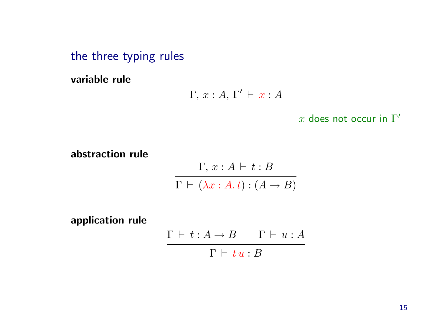the three typing rules

variable rule

Γ,  $x : A, \Gamma' \vdash x : A$ 

x does not occur in  $\Gamma'$ 

abstraction rule

 $\Gamma, x : A \vdash t : B$  $\Gamma \vdash (\lambda x : A.t) : (A \rightarrow B)$ 

application rule

 $\Gamma \vdash t : A \rightarrow B \qquad \Gamma \vdash u : A$  $\Gamma \vdash t \, u : B$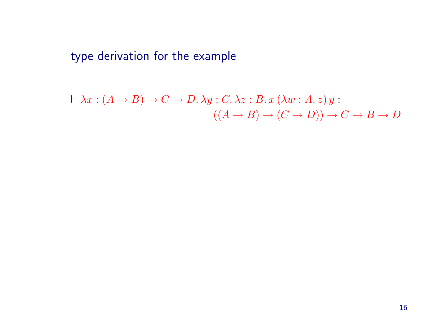type derivation for the example

$$
\vdash \lambda x : (A \to B) \to C \to D. \lambda y : C. \lambda z : B. x (\lambda w : A. z) y : ((A \to B) \to (C \to D)) \to C \to B \to D
$$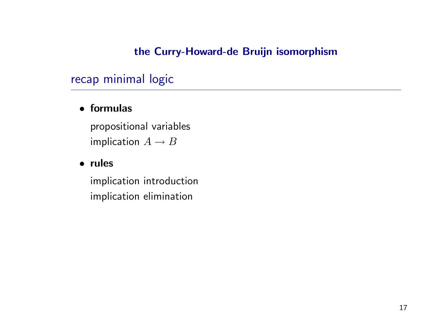#### the Curry-Howard-de Bruijn isomorphism

## recap minimal logic

#### • formulas

propositional variables implication  $A \rightarrow B$ 

#### • rules

implication introduction implication elimination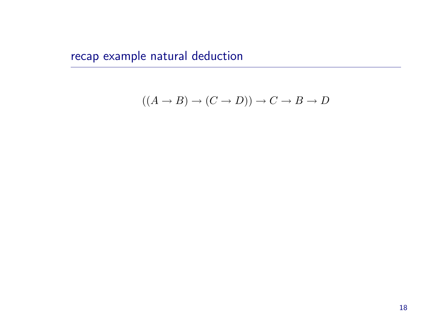recap example natural deduction

$$
((A \to B) \to (C \to D)) \to C \to B \to D
$$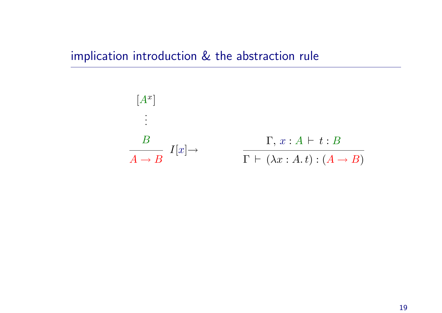## implication introduction & the abstraction rule

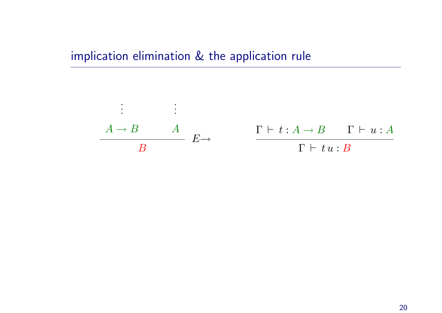## implication elimination & the application rule

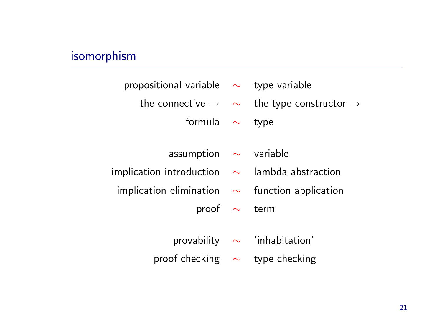# isomorphism

| propositional variable $\sim$ type variable                  |                                                                                  |
|--------------------------------------------------------------|----------------------------------------------------------------------------------|
|                                                              | the connective $\rightarrow \quad \sim \quad$ the type constructor $\rightarrow$ |
| formula $\sim$                                               | type                                                                             |
|                                                              |                                                                                  |
| assumption $\sim$ variable                                   |                                                                                  |
| implication introduction $\quad\sim\quad$ lambda abstraction |                                                                                  |
| implication elimination $\sim$ function application          |                                                                                  |
| proof $\sim$ term                                            |                                                                                  |
|                                                              |                                                                                  |
|                                                              | provability $\sim$ 'inhabitation'                                                |
| proof checking $\sim$ type checking                          |                                                                                  |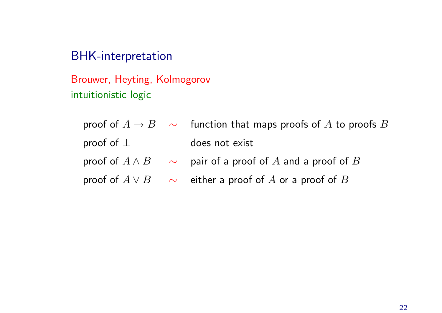## BHK-interpretation

Brouwer, Heyting, Kolmogorov intuitionistic logic

|                  | proof of $A \rightarrow B$ $\sim$ function that maps proofs of A to proofs B |
|------------------|------------------------------------------------------------------------------|
| proof of $\perp$ | does not exist                                                               |
|                  | proof of $A \wedge B$ $\sim$ pair of a proof of A and a proof of B           |
|                  | proof of $A \vee B$ $\sim$ either a proof of A or a proof of B               |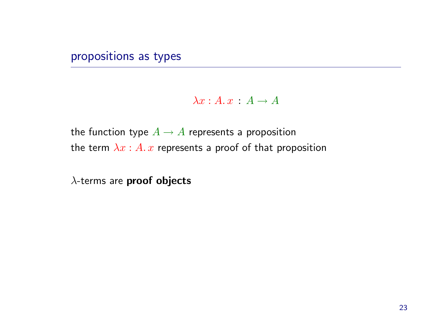#### propositions as types

 $\lambda x:A. x:A\rightarrow A$ 

the function type  $A \rightarrow A$  represents a proposition the term  $\lambda x : A \cdot x$  represents a proof of that proposition

 $\lambda$ -terms are proof objects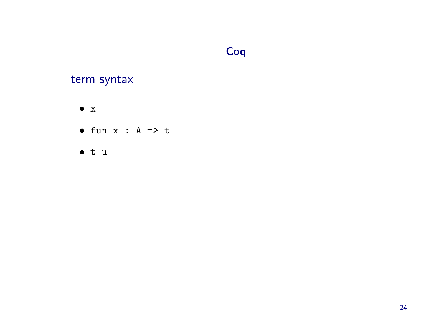## Coq

## term syntax

- $\bullet$  X
- $\bullet$  fun x : A => t
- $\bullet$  t u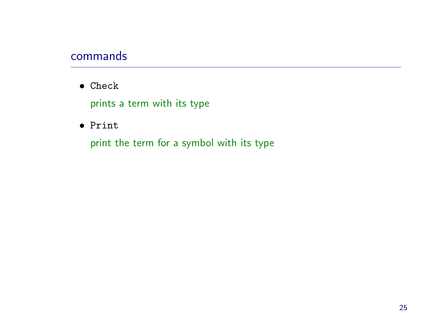#### commands

• Check

prints <sup>a</sup> term with its type

• Print

print the term for <sup>a</sup> symbol with its type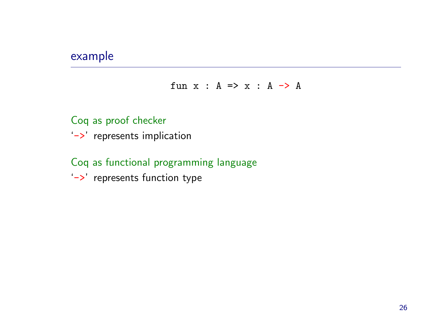#### example

fun  $x : A \Rightarrow x : A \Rightarrow A$ 

Coq as proof checker '->' represents implication

#### Coq as functional programming language

'->' represents function type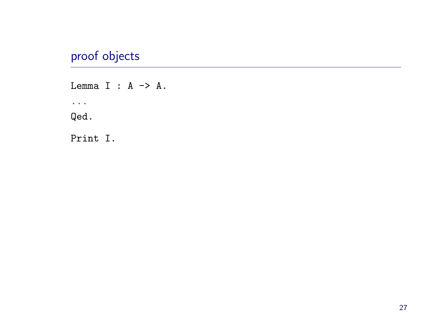## proof objects

Lemma I :  $A \rightarrow A$ .  $\sim$   $\sim$ Qed. Print I.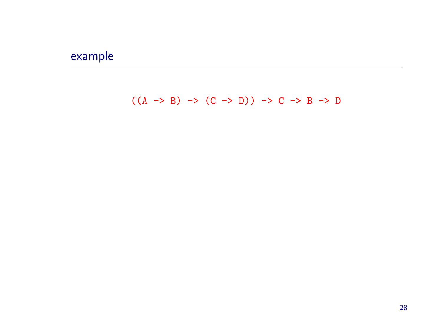## example

 $((A \rightarrow B) \rightarrow (C \rightarrow D)) \rightarrow C \rightarrow B \rightarrow D$